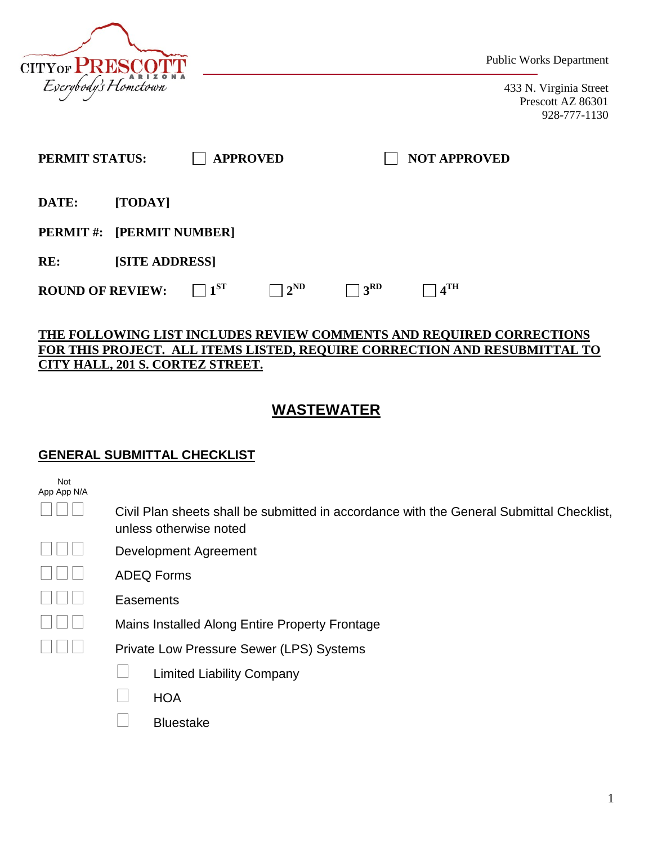

Public Works Department

433 N. Virginia Street Prescott AZ 86301 928-777-1130

| PERMIT STATUS:            |                       |          | <b>APPROVED</b> |               | <b>NOT APPROVED</b> |  |
|---------------------------|-----------------------|----------|-----------------|---------------|---------------------|--|
| DATE:                     | [TODAY]               |          |                 |               |                     |  |
| PERMIT #: [PERMIT NUMBER] |                       |          |                 |               |                     |  |
| RE:                       | <b>[SITE ADDRESS]</b> |          |                 |               |                     |  |
| <b>ROUND OF REVIEW:</b>   |                       | $1^{SI}$ | $2^{\rm ND}$    | $+3^{\rm RD}$ | $4^{\text{TH}}$     |  |

#### **THE FOLLOWING LIST INCLUDES REVIEW COMMENTS AND REQUIRED CORRECTIONS FOR THIS PROJECT. ALL ITEMS LISTED, REQUIRE CORRECTION AND RESUBMITTAL TO CITY HALL, 201 S. CORTEZ STREET.**

# **WASTEWATER**

### **GENERAL SUBMITTAL CHECKLIST**

| Not         |  |
|-------------|--|
| App App N/A |  |

| $\square \square \square$ | Civil Plan sheets shall be submitted in accordance with the General Submittal Checklist, |
|---------------------------|------------------------------------------------------------------------------------------|
|                           | unless otherwise noted                                                                   |

Development Agreement

|  | $\Box \Box \Box$ | <b>ADEQ Forms</b> |
|--|------------------|-------------------|
|--|------------------|-------------------|

**Easements** 

Mains Installed Along Entire Property Frontage

Private Low Pressure Sewer (LPS) Systems

| <b>Limited Liability Company</b> |
|----------------------------------|
|                                  |

**HOA** 

 $\Box$  Bluestake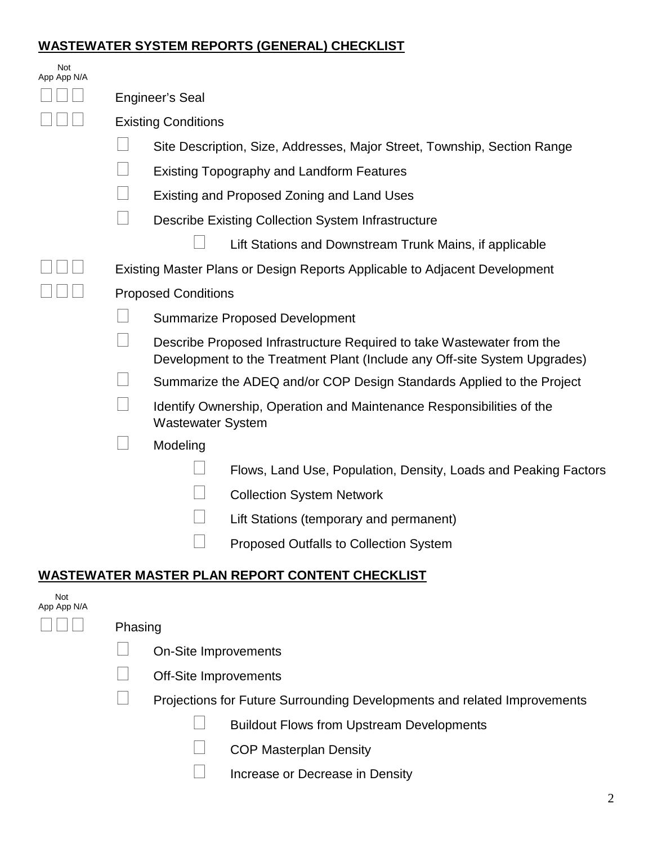### **WASTEWATER SYSTEM REPORTS (GENERAL) CHECKLIST**

| Not<br>App App N/A |         |                              |                                                                                                                                                    |  |
|--------------------|---------|------------------------------|----------------------------------------------------------------------------------------------------------------------------------------------------|--|
|                    |         | <b>Engineer's Seal</b>       |                                                                                                                                                    |  |
|                    |         | <b>Existing Conditions</b>   |                                                                                                                                                    |  |
|                    |         |                              | Site Description, Size, Addresses, Major Street, Township, Section Range                                                                           |  |
|                    |         |                              | <b>Existing Topography and Landform Features</b>                                                                                                   |  |
|                    |         |                              | Existing and Proposed Zoning and Land Uses                                                                                                         |  |
|                    |         |                              | <b>Describe Existing Collection System Infrastructure</b>                                                                                          |  |
|                    |         |                              | Lift Stations and Downstream Trunk Mains, if applicable                                                                                            |  |
|                    |         |                              | Existing Master Plans or Design Reports Applicable to Adjacent Development                                                                         |  |
|                    |         | <b>Proposed Conditions</b>   |                                                                                                                                                    |  |
|                    |         |                              | <b>Summarize Proposed Development</b>                                                                                                              |  |
|                    |         |                              | Describe Proposed Infrastructure Required to take Wastewater from the<br>Development to the Treatment Plant (Include any Off-site System Upgrades) |  |
|                    |         |                              | Summarize the ADEQ and/or COP Design Standards Applied to the Project                                                                              |  |
|                    |         | <b>Wastewater System</b>     | Identify Ownership, Operation and Maintenance Responsibilities of the                                                                              |  |
|                    |         | Modeling                     |                                                                                                                                                    |  |
|                    |         |                              | Flows, Land Use, Population, Density, Loads and Peaking Factors                                                                                    |  |
|                    |         |                              | <b>Collection System Network</b>                                                                                                                   |  |
|                    |         |                              | Lift Stations (temporary and permanent)                                                                                                            |  |
|                    |         |                              | <b>Proposed Outfalls to Collection System</b>                                                                                                      |  |
|                    |         |                              | <b>WASTEWATER MASTER PLAN REPORT CONTENT CHECKLIST</b>                                                                                             |  |
| Not<br>App App N/A |         |                              |                                                                                                                                                    |  |
|                    | Phasing |                              |                                                                                                                                                    |  |
|                    |         | On-Site Improvements         |                                                                                                                                                    |  |
|                    |         | <b>Off-Site Improvements</b> |                                                                                                                                                    |  |
|                    |         |                              | Projections for Future Surrounding Developments and related Improvements                                                                           |  |
|                    |         |                              | <b>Buildout Flows from Upstream Developments</b>                                                                                                   |  |
|                    |         |                              | <b>COP Masterplan Density</b>                                                                                                                      |  |

Increase or Decrease in Density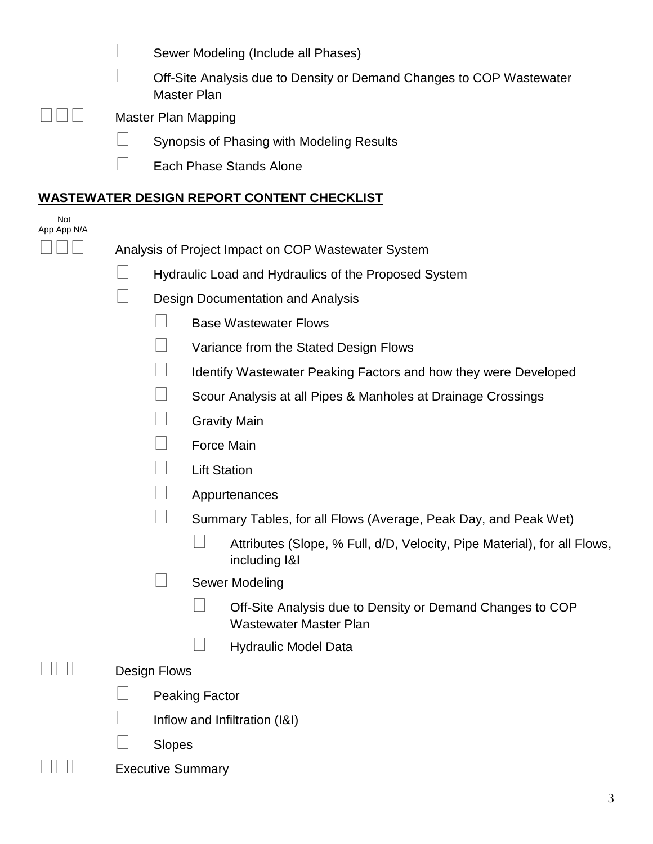|                    | Sewer Modeling (Include all Phases)                                                        |
|--------------------|--------------------------------------------------------------------------------------------|
|                    | Off-Site Analysis due to Density or Demand Changes to COP Wastewater<br><b>Master Plan</b> |
|                    | <b>Master Plan Mapping</b>                                                                 |
|                    | Synopsis of Phasing with Modeling Results                                                  |
|                    | Each Phase Stands Alone                                                                    |
|                    | <b>WASTEWATER DESIGN REPORT CONTENT CHECKLIST</b>                                          |
| Not<br>App App N/A |                                                                                            |
|                    | Analysis of Project Impact on COP Wastewater System                                        |
|                    | Hydraulic Load and Hydraulics of the Proposed System                                       |
|                    | Design Documentation and Analysis                                                          |
|                    | <b>Base Wastewater Flows</b>                                                               |
|                    | Variance from the Stated Design Flows                                                      |
|                    | Identify Wastewater Peaking Factors and how they were Developed                            |
|                    | Scour Analysis at all Pipes & Manholes at Drainage Crossings                               |
|                    | <b>Gravity Main</b>                                                                        |
|                    | Force Main                                                                                 |
|                    | <b>Lift Station</b>                                                                        |
|                    | Appurtenances                                                                              |
|                    | Summary Tables, for all Flows (Average, Peak Day, and Peak Wet)                            |
|                    | Attributes (Slope, % Full, d/D, Velocity, Pipe Material), for all Flows,<br>including I&I  |
|                    | Sewer Modeling                                                                             |
|                    | Off-Site Analysis due to Density or Demand Changes to COP<br><b>Wastewater Master Plan</b> |
|                    | <b>Hydraulic Model Data</b>                                                                |
|                    | Design Flows                                                                               |
|                    | Peaking Factor                                                                             |
|                    | Inflow and Infiltration (I&I)                                                              |
|                    | Slopes                                                                                     |
|                    | <b>Executive Summary</b>                                                                   |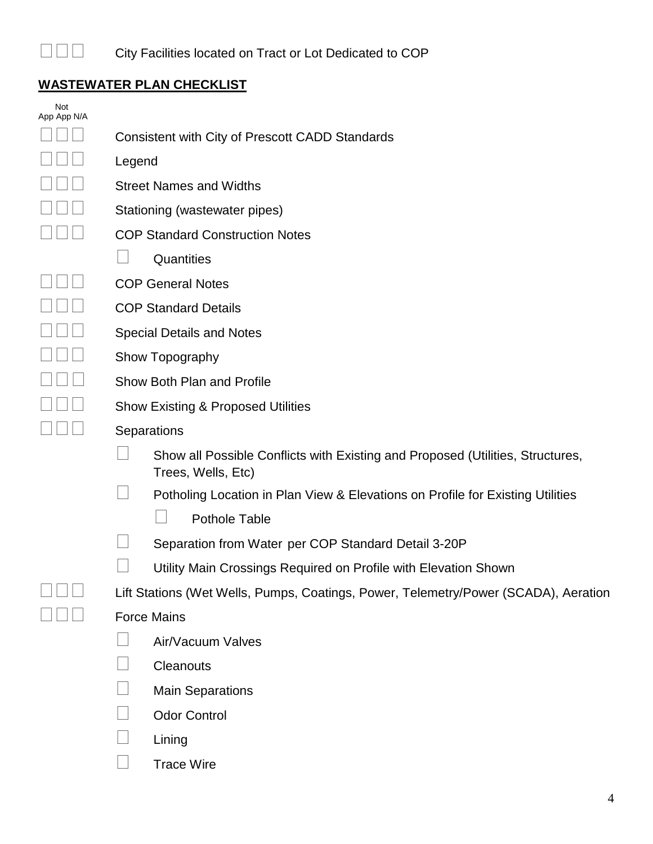

# **WASTEWATER PLAN CHECKLIST**

| Not<br>App App N/A |                                                                                                      |  |  |
|--------------------|------------------------------------------------------------------------------------------------------|--|--|
|                    | <b>Consistent with City of Prescott CADD Standards</b>                                               |  |  |
|                    | Legend                                                                                               |  |  |
|                    | <b>Street Names and Widths</b>                                                                       |  |  |
|                    | Stationing (wastewater pipes)                                                                        |  |  |
|                    | <b>COP Standard Construction Notes</b>                                                               |  |  |
|                    | Quantities                                                                                           |  |  |
|                    | <b>COP General Notes</b>                                                                             |  |  |
|                    | <b>COP Standard Details</b>                                                                          |  |  |
|                    | <b>Special Details and Notes</b>                                                                     |  |  |
|                    | Show Topography                                                                                      |  |  |
|                    | Show Both Plan and Profile                                                                           |  |  |
|                    | <b>Show Existing &amp; Proposed Utilities</b>                                                        |  |  |
|                    | Separations                                                                                          |  |  |
|                    | Show all Possible Conflicts with Existing and Proposed (Utilities, Structures,<br>Trees, Wells, Etc) |  |  |
|                    | Potholing Location in Plan View & Elevations on Profile for Existing Utilities                       |  |  |
|                    | <b>Pothole Table</b>                                                                                 |  |  |
|                    | Separation from Water per COP Standard Detail 3-20P                                                  |  |  |
|                    | Utility Main Crossings Required on Profile with Elevation Shown                                      |  |  |
|                    | Lift Stations (Wet Wells, Pumps, Coatings, Power, Telemetry/Power (SCADA), Aeration                  |  |  |
|                    | <b>Force Mains</b>                                                                                   |  |  |
|                    | Air/Vacuum Valves                                                                                    |  |  |
|                    | Cleanouts                                                                                            |  |  |
|                    | <b>Main Separations</b>                                                                              |  |  |
|                    | <b>Odor Control</b>                                                                                  |  |  |
|                    | Lining                                                                                               |  |  |
|                    | <b>Trace Wire</b>                                                                                    |  |  |